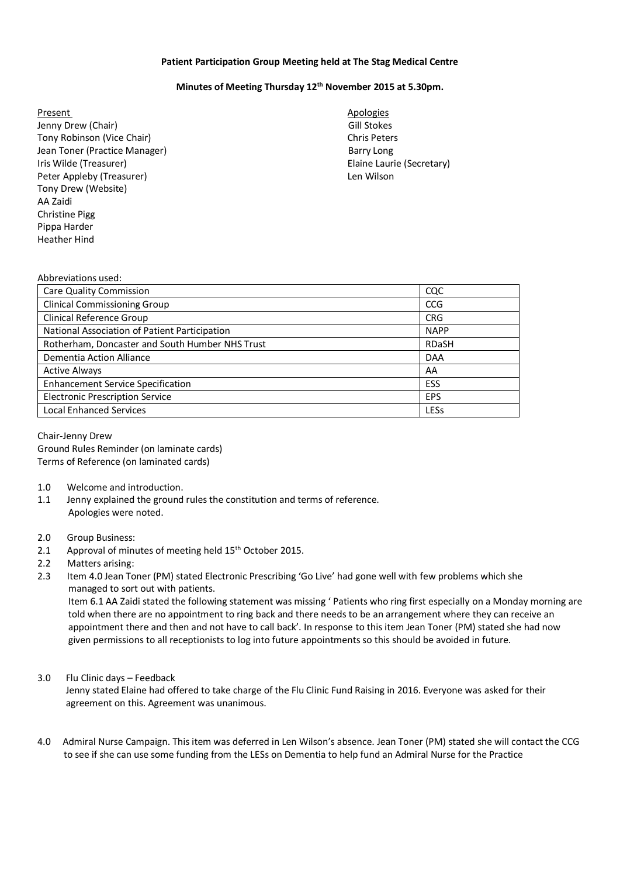## **Patient Participation Group Meeting held at The Stag Medical Centre**

## **Minutes of Meeting Thursday 12th November 2015 at 5.30pm.**

- Present Apologies and Apologies and Apologies and Apologies and Apologies and Apologies and Apologies and Apologies Jenny Drew (Chair) **Gill Stockes** Controller and the United States Controller and Controller and Controller and Controller and Controller and Controller and Controller and Controller and Controller and Controller and Contr Tony Robinson (Vice Chair) Chris Peters Jean Toner (Practice Manager) Barry Long Iris Wilde (Treasurer) Elaine Laurie (Secretary) Peter Appleby (Treasurer) and the control of the United States and Len Wilson Tony Drew (Website) AA Zaidi Christine Pigg Pippa Harder Heather Hind
	-

## Abbreviations used:

| <b>Care Quality Commission</b>                  | CQC          |
|-------------------------------------------------|--------------|
| <b>Clinical Commissioning Group</b>             | <b>CCG</b>   |
| <b>Clinical Reference Group</b>                 | <b>CRG</b>   |
| National Association of Patient Participation   | <b>NAPP</b>  |
| Rotherham, Doncaster and South Humber NHS Trust | <b>RDaSH</b> |
| Dementia Action Alliance                        | <b>DAA</b>   |
| <b>Active Always</b>                            | AA           |
| <b>Enhancement Service Specification</b>        | ESS          |
| <b>Electronic Prescription Service</b>          | <b>EPS</b>   |
| <b>Local Enhanced Services</b>                  | LESs         |

Chair-Jenny Drew Ground Rules Reminder (on laminate cards) Terms of Reference (on laminated cards)

- 1.0 Welcome and introduction.
- 1.1 Jenny explained the ground rules the constitution and terms of reference. Apologies were noted.
- 2.0 Group Business:
- 2.1 Approval of minutes of meeting held 15<sup>th</sup> October 2015.
- 2.2 Matters arising:
- 2.3 Item 4.0 Jean Toner (PM) stated Electronic Prescribing 'Go Live' had gone well with few problems which she managed to sort out with patients.

 Item 6.1 AA Zaidi stated the following statement was missing ' Patients who ring first especially on a Monday morning are told when there are no appointment to ring back and there needs to be an arrangement where they can receive an appointment there and then and not have to call back'. In response to this item Jean Toner (PM) stated she had now given permissions to all receptionists to log into future appointments so this should be avoided in future.

## 3.0 Flu Clinic days – Feedback

 Jenny stated Elaine had offered to take charge of the Flu Clinic Fund Raising in 2016. Everyone was asked for their agreement on this. Agreement was unanimous.

4.0 Admiral Nurse Campaign. This item was deferred in Len Wilson's absence. Jean Toner (PM) stated she will contact the CCG to see if she can use some funding from the LESs on Dementia to help fund an Admiral Nurse for the Practice